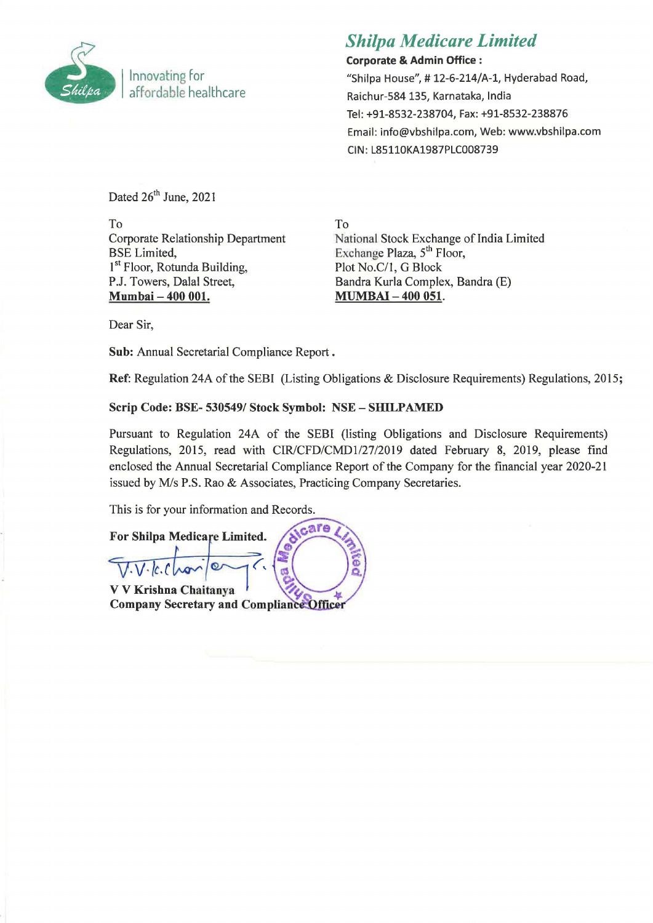

# *Shilpa Medicare Limited*

Corporate & Admin Office: "Shilpa House", # 12-6-214/A-1, Hyderabad Road, Raichur-584 135, Karnataka, India Tel: +91-8532-238704, Fax: +91-8532-238876 Email: info@vbshilpa.com, Web: www.vbshilpa.com CIN: L85110KA1987PLC008739

Dated  $26<sup>th</sup>$  June, 2021

To Corporate Relationship Department BSE Limited, 1<sup>st</sup> Floor, Rotunda Building, PJ. Towers, Dalal Street, Mumbai - 400 001.

To National Stock Exchange of India Limited Exchange Plaza, 5<sup>th</sup> Floor, Plot *No.CIl,* G Block Bandra Kurla Complex, Bandra (E) MUMBAI - 400 051.

Dear Sir,

Sub: Annual Secretarial Compliance Report .

Ref: Regulation 24A of the SEBI (Listing Obligations & Disclosure Requirements) Regulations, 2015;

## Scrip Code: BSE- *5305491* Stock Symbol: NSE - SHILPAMED

Pursuant to Regulation 24A of the SEBI (listing Obligations and Disclosure Requirements) Regulations, 2015, read with *CIRlCFD/CMD1I27/2019* dated February 8, 2019, please find enclosed the Annual Secretarial Compliance Report of the Company for the financial year 2020-21 issued by M/s P.S. Rao & Associates, Practicing Company Secretaries.

This is for your information and Records.

care For Shilpa Medicare Limited. Ġ V V Krishna Chaitanya **Company Secretary and Compliance Officer**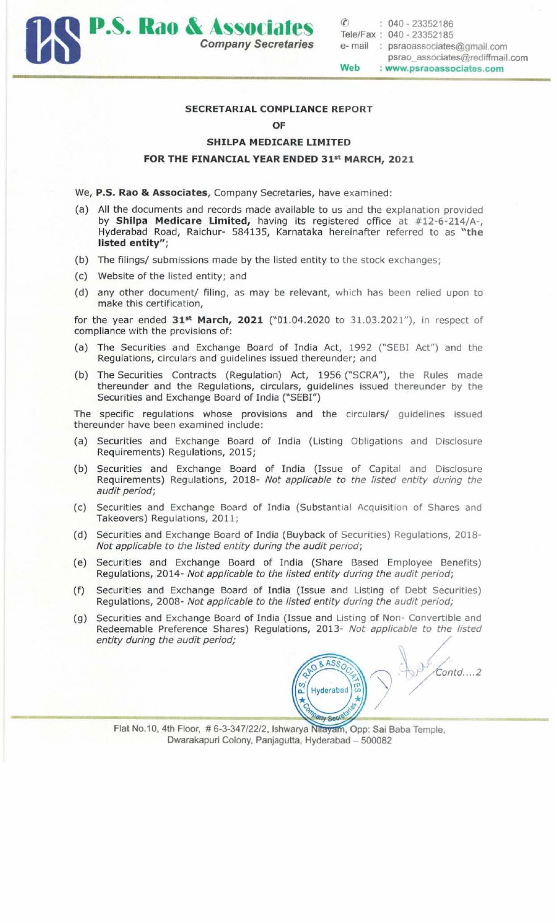

### SECRETARIAL COMPLIANCE REPORT

#### OF

#### SHILPA MEDICARE LIMITED

## FOR THE FINANCIAL YEAR ENDED 31st MARCH, 2021

- We, P.S. Rao & Associates, Company Secretaries, have examined:
- (a) All the documents and records made available to us and the explanation provided by Shilpa Medicare Limited, having its registered office at #12-6-214/A-, Hyderabad Road, Raichur- 584135, Karnataka hereinafter referred to as "the listed entity";
- (b) The filings/ submissions made by the listed entity to the stock exchanges;
- (c) Website of the listed entity; and
- (d) any other document/ filing, as may be relevant, which has been relied upon to make this certification,

for the year ended  $31^{st}$  March, 2021 ("01.04.2020 to 31.03.2021"), in respect of compliance with the provisions of:

- (a) The Securities and Exchange Board of India Act, 1992 ("SEBI Act") and the Regulations, circulars and guidelines issued thereunder; and
- (b) The Securities Contracts (Regulation) Act, 1956 ("SCRA"), the Rules made thereunder and the Regulations, circulars, guidelines issued thereunder by the Securities and Exchange Board of India ("SEBI")

The specific regulations whose provisions and the circulars/ guidelines issued thereunder have been examined include:

- (a) Securities and Exchange Board of India (Listing Obligations and Disclosure Requirements) Regulations, 2015;
- (b) Securities and Exchange Board of India (Issue of Capital and Disclosure Requirements) Regulations, 2018- Not applicable to the listed entity during the audit period;
- (c) Securities and Exchange Board of India (Substantial Acquisition of Shares and Takeovers) Regulations, 2011;
- (d) Securities and Exchange Board of India (Buyback of Securities) Regulations, 2018- Not applicable to the listed entity during the audit period;
- (e) Securities and Exchange Board of India (Share Based Employee Benefits) Regulations, 2014- Not applicable to the listed entity during the audit period;
- (f) Securities and Exchange Board of India (Issue and Listing of Debt Securities) Regulations, 2008- Not applicable to the listed entity during the audit period;
- (g) Securities and Exchange Board of India (Issue and Listing of Non- Convertible and Redeemable Preference Shares) Regulations, 2013- Not applicable to the listed entity during the audit period;

**& ASS**  $Contd...2$ Hyderabad I **TV Set** 

Flat No.10, 4th Floor, #6-3-347/22/2, Ishwarya Nilayam, Opp: Sai Baba Temple, Dwarakapuri Colony, Panjagutta, Hyderabad - 500082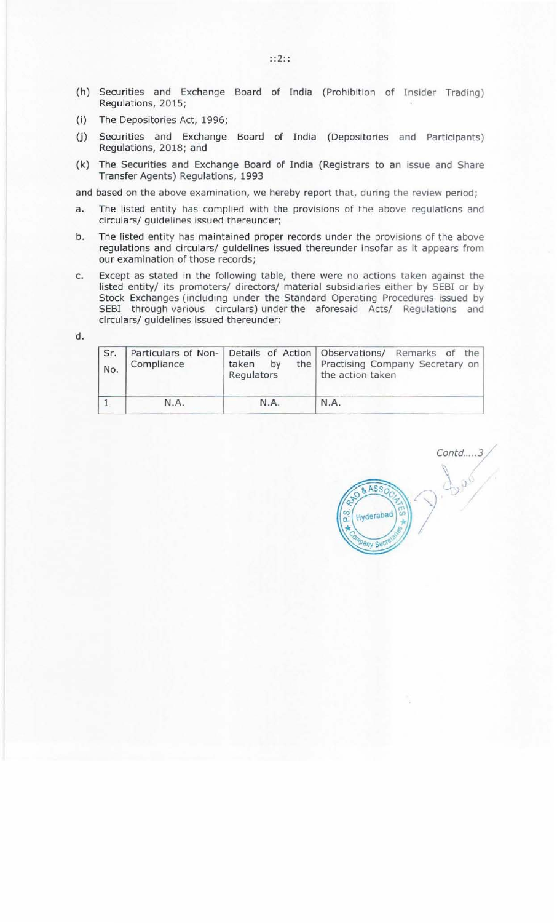- (h) Securities and Exchange Board of India (Prohibition of Insider Trading) Regulations, 2015;
- (i) The Depositories Act, 1996;
- (j) Securities and Exchange Board of India (Depositories and Participants) Regulations, 2018; and
- (k) The Securities and Exchange Board of India (Registrars to an issue and Share Transfer Agents) Regulations, 1993

and based on the above examination, we hereby report that, during the review period;

- a. The listed entity has complied with the provisions of the above regulations and circulars/ guidelines issued thereunder;
- b. The listed entity has maintained proper records under the provisions of the above regulations and circulars/ guidelines issued thereunder insofar as it appears from our examination of those records;
- c. Except as stated in the following table, there were no actions taken against the listed entity/ its promoters/ directors/ material subsidiaries either by SEBI or by Stock Exchanges (including under the Standard Operating Procedures issued by SEBI through various circulars) under the aforesaid Acts/ Regulations and circulars/ guidelines issued thereunder:

d.

| Sr.<br>No. | Compliance | by<br>taken<br>Regulators | Particulars of Non- Details of Action Observations/ Remarks of the<br>the   Practising Company Secretary on<br>the action taken |
|------------|------------|---------------------------|---------------------------------------------------------------------------------------------------------------------------------|
|            | N.A.       | N.A.                      | N.A.                                                                                                                            |

Contd.....3/